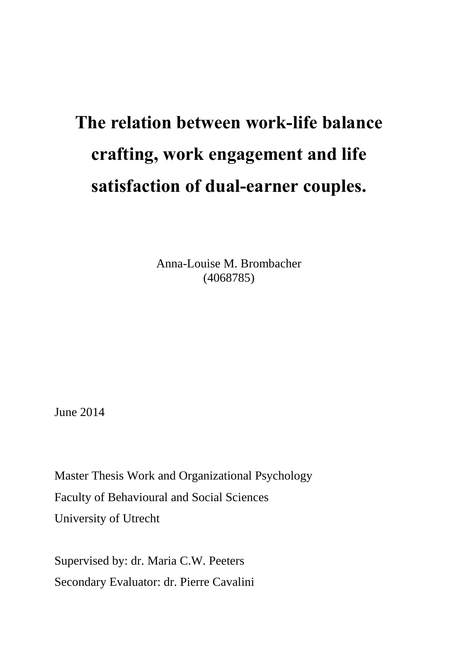# **The relation between work-life balance crafting, work engagement and life satisfaction of dual-earner couples.**

Anna-Louise M. Brombacher (4068785)

June 2014

Master Thesis Work and Organizational Psychology Faculty of Behavioural and Social Sciences University of Utrecht

Supervised by: dr. Maria C.W. Peeters Secondary Evaluator: dr. Pierre Cavalini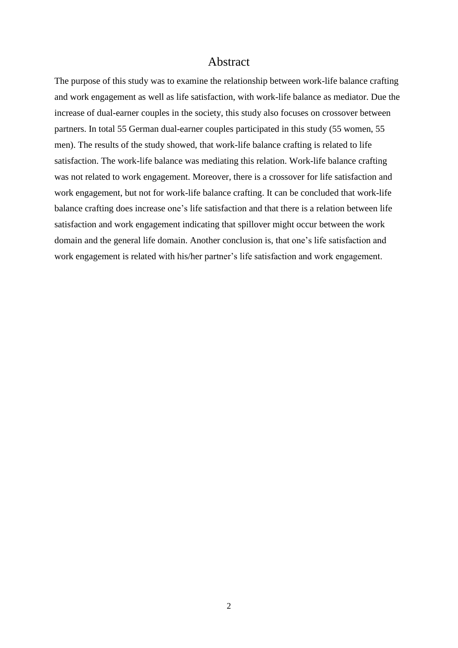## Abstract

The purpose of this study was to examine the relationship between work-life balance crafting and work engagement as well as life satisfaction, with work-life balance as mediator. Due the increase of dual-earner couples in the society, this study also focuses on crossover between partners. In total 55 German dual-earner couples participated in this study (55 women, 55 men). The results of the study showed, that work-life balance crafting is related to life satisfaction. The work-life balance was mediating this relation. Work-life balance crafting was not related to work engagement. Moreover, there is a crossover for life satisfaction and work engagement, but not for work-life balance crafting. It can be concluded that work-life balance crafting does increase one's life satisfaction and that there is a relation between life satisfaction and work engagement indicating that spillover might occur between the work domain and the general life domain. Another conclusion is, that one's life satisfaction and work engagement is related with his/her partner's life satisfaction and work engagement.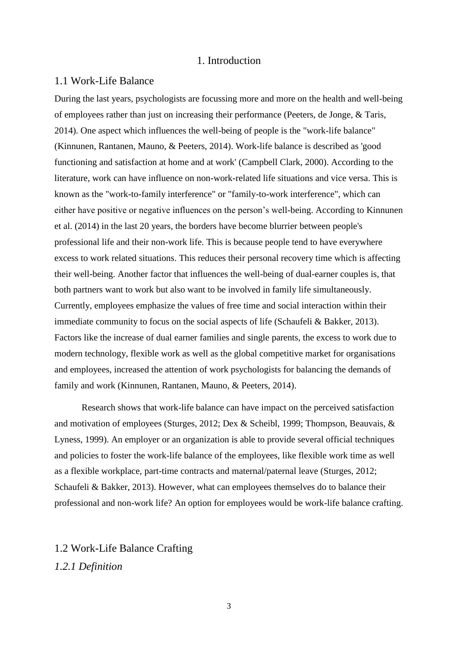#### 1. Introduction

#### 1.1 Work-Life Balance

During the last years, psychologists are focussing more and more on the health and well-being of employees rather than just on increasing their performance (Peeters, de Jonge, & Taris, 2014). One aspect which influences the well-being of people is the "work-life balance" (Kinnunen, Rantanen, Mauno, & Peeters, 2014). Work-life balance is described as 'good functioning and satisfaction at home and at work' (Campbell Clark, 2000). According to the literature, work can have influence on non-work-related life situations and vice versa. This is known as the "work-to-family interference" or "family-to-work interference", which can either have positive or negative influences on the person's well-being. According to Kinnunen et al. (2014) in the last 20 years, the borders have become blurrier between people's professional life and their non-work life. This is because people tend to have everywhere excess to work related situations. This reduces their personal recovery time which is affecting their well-being. Another factor that influences the well-being of dual-earner couples is, that both partners want to work but also want to be involved in family life simultaneously. Currently, employees emphasize the values of free time and social interaction within their immediate community to focus on the social aspects of life (Schaufeli & Bakker, 2013). Factors like the increase of dual earner families and single parents, the excess to work due to modern technology, flexible work as well as the global competitive market for organisations and employees, increased the attention of work psychologists for balancing the demands of family and work (Kinnunen, Rantanen, Mauno, & Peeters, 2014).

Research shows that work-life balance can have impact on the perceived satisfaction and motivation of employees (Sturges, 2012; Dex & Scheibl, 1999; Thompson, Beauvais, & Lyness, 1999). An employer or an organization is able to provide several official techniques and policies to foster the work-life balance of the employees, like flexible work time as well as a flexible workplace, part-time contracts and maternal/paternal leave (Sturges, 2012; Schaufeli & Bakker, 2013). However, what can employees themselves do to balance their professional and non-work life? An option for employees would be work-life balance crafting.

1.2 Work-Life Balance Crafting *1.2.1 Definition*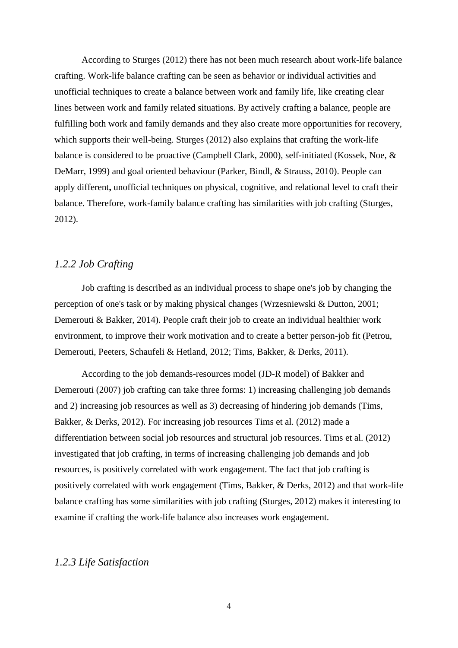According to Sturges (2012) there has not been much research about work-life balance crafting. Work-life balance crafting can be seen as behavior or individual activities and unofficial techniques to create a balance between work and family life, like creating clear lines between work and family related situations. By actively crafting a balance, people are fulfilling both work and family demands and they also create more opportunities for recovery, which supports their well-being. Sturges (2012) also explains that crafting the work-life balance is considered to be proactive (Campbell Clark, 2000), self-initiated (Kossek, Noe, & DeMarr, 1999) and goal oriented behaviour (Parker, Bindl, & Strauss, 2010). People can apply different**,** unofficial techniques on physical, cognitive, and relational level to craft their balance. Therefore, work-family balance crafting has similarities with job crafting (Sturges, 2012).

#### *1.2.2 Job Crafting*

Job crafting is described as an individual process to shape one's job by changing the perception of one's task or by making physical changes (Wrzesniewski & Dutton, 2001; Demerouti & Bakker, 2014). People craft their job to create an individual healthier work environment, to improve their work motivation and to create a better person-job fit (Petrou, Demerouti, Peeters, Schaufeli & Hetland, 2012; Tims, Bakker, & Derks, 2011).

According to the job demands-resources model (JD-R model) of Bakker and Demerouti (2007) job crafting can take three forms: 1) increasing challenging job demands and 2) increasing job resources as well as 3) decreasing of hindering job demands (Tims, Bakker, & Derks, 2012). For increasing job resources Tims et al. (2012) made a differentiation between social job resources and structural job resources. Tims et al. (2012) investigated that job crafting, in terms of increasing challenging job demands and job resources, is positively correlated with work engagement. The fact that job crafting is positively correlated with work engagement (Tims, Bakker, & Derks, 2012) and that work-life balance crafting has some similarities with job crafting (Sturges, 2012) makes it interesting to examine if crafting the work-life balance also increases work engagement.

## *1.2.3 Life Satisfaction*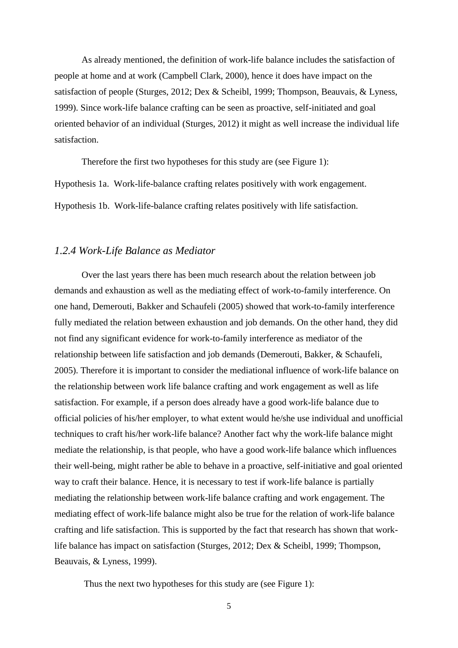As already mentioned, the definition of work-life balance includes the satisfaction of people at home and at work (Campbell Clark, 2000), hence it does have impact on the satisfaction of people (Sturges, 2012; Dex & Scheibl, 1999; Thompson, Beauvais, & Lyness, 1999). Since work-life balance crafting can be seen as proactive, self-initiated and goal oriented behavior of an individual (Sturges, 2012) it might as well increase the individual life satisfaction.

Therefore the first two hypotheses for this study are (see Figure 1): Hypothesis 1a. Work-life-balance crafting relates positively with work engagement. Hypothesis 1b. Work-life-balance crafting relates positively with life satisfaction.

## *1.2.4 Work-Life Balance as Mediator*

Over the last years there has been much research about the relation between job demands and exhaustion as well as the mediating effect of work-to-family interference. On one hand, Demerouti, Bakker and Schaufeli (2005) showed that work-to-family interference fully mediated the relation between exhaustion and job demands. On the other hand, they did not find any significant evidence for work-to-family interference as mediator of the relationship between life satisfaction and job demands (Demerouti, Bakker, & Schaufeli, 2005). Therefore it is important to consider the mediational influence of work-life balance on the relationship between work life balance crafting and work engagement as well as life satisfaction. For example, if a person does already have a good work-life balance due to official policies of his/her employer, to what extent would he/she use individual and unofficial techniques to craft his/her work-life balance? Another fact why the work-life balance might mediate the relationship, is that people, who have a good work-life balance which influences their well-being, might rather be able to behave in a proactive, self-initiative and goal oriented way to craft their balance. Hence, it is necessary to test if work-life balance is partially mediating the relationship between work-life balance crafting and work engagement. The mediating effect of work-life balance might also be true for the relation of work-life balance crafting and life satisfaction. This is supported by the fact that research has shown that worklife balance has impact on satisfaction (Sturges, 2012; Dex & Scheibl, 1999; Thompson, Beauvais, & Lyness, 1999).

Thus the next two hypotheses for this study are (see Figure 1):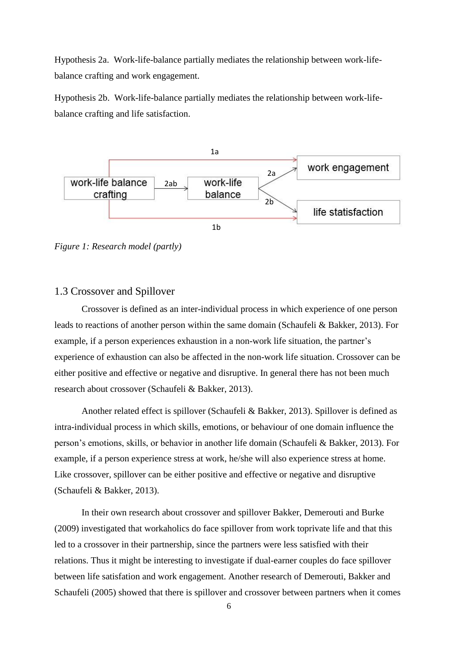Hypothesis 2a. Work-life-balance partially mediates the relationship between work-lifebalance crafting and work engagement.

Hypothesis 2b. Work-life-balance partially mediates the relationship between work-lifebalance crafting and life satisfaction.



*Figure 1: Research model (partly)*

#### 1.3 Crossover and Spillover

Crossover is defined as an inter-individual process in which experience of one person leads to reactions of another person within the same domain (Schaufeli & Bakker, 2013). For example, if a person experiences exhaustion in a non-work life situation, the partner's experience of exhaustion can also be affected in the non-work life situation. Crossover can be either positive and effective or negative and disruptive. In general there has not been much research about crossover (Schaufeli & Bakker, 2013).

Another related effect is spillover (Schaufeli & Bakker, 2013). Spillover is defined as intra-individual process in which skills, emotions, or behaviour of one domain influence the person's emotions, skills, or behavior in another life domain (Schaufeli & Bakker, 2013). For example, if a person experience stress at work, he/she will also experience stress at home. Like crossover, spillover can be either positive and effective or negative and disruptive (Schaufeli & Bakker, 2013).

In their own research about crossover and spillover Bakker, Demerouti and Burke (2009) investigated that workaholics do face spillover from work toprivate life and that this led to a crossover in their partnership, since the partners were less satisfied with their relations. Thus it might be interesting to investigate if dual-earner couples do face spillover between life satisfation and work engagement. Another research of Demerouti, Bakker and Schaufeli (2005) showed that there is spillover and crossover between partners when it comes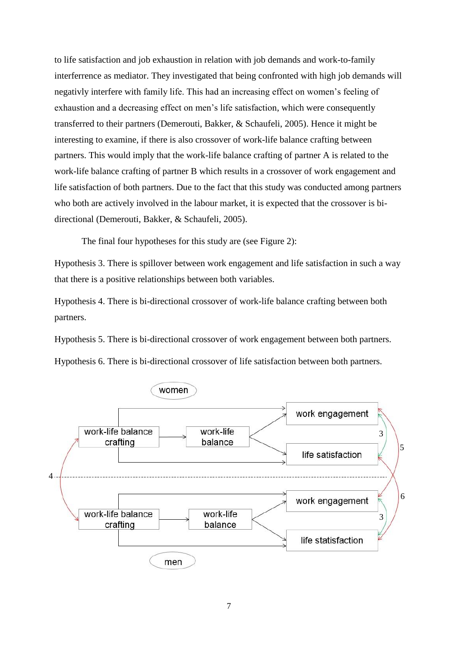to life satisfaction and job exhaustion in relation with job demands and work-to-family interferrence as mediator. They investigated that being confronted with high job demands will negativly interfere with family life. This had an increasing effect on women's feeling of exhaustion and a decreasing effect on men's life satisfaction, which were consequently transferred to their partners (Demerouti, Bakker, & Schaufeli, 2005). Hence it might be interesting to examine, if there is also crossover of work-life balance crafting between partners. This would imply that the work-life balance crafting of partner A is related to the work-life balance crafting of partner B which results in a crossover of work engagement and life satisfaction of both partners. Due to the fact that this study was conducted among partners who both are actively involved in the labour market, it is expected that the crossover is bidirectional (Demerouti, Bakker, & Schaufeli, 2005).

The final four hypotheses for this study are (see Figure 2):

Hypothesis 3. There is spillover between work engagement and life satisfaction in such a way that there is a positive relationships between both variables.

Hypothesis 4. There is bi-directional crossover of work-life balance crafting between both partners.

Hypothesis 5. There is bi-directional crossover of work engagement between both partners.

Hypothesis 6. There is bi-directional crossover of life satisfaction between both partners.

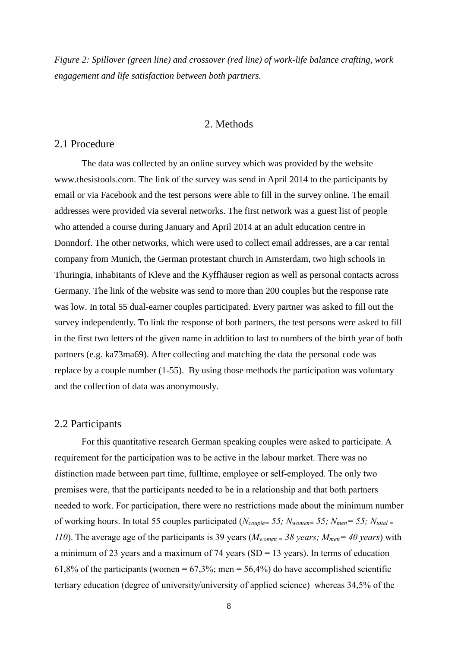*Figure 2: Spillover (green line) and crossover (red line) of work-life balance crafting, work engagement and life satisfaction between both partners.*

#### 2. Methods

#### 2.1 Procedure

The data was collected by an online survey which was provided by the website www.thesistools.com. The link of the survey was send in April 2014 to the participants by email or via Facebook and the test persons were able to fill in the survey online. The email addresses were provided via several networks. The first network was a guest list of people who attended a course during January and April 2014 at an adult education centre in Donndorf. The other networks, which were used to collect email addresses, are a car rental company from Munich, the German protestant church in Amsterdam, two high schools in Thuringia, inhabitants of Kleve and the Kyffhäuser region as well as personal contacts across Germany. The link of the website was send to more than 200 couples but the response rate was low. In total 55 dual-earner couples participated. Every partner was asked to fill out the survey independently. To link the response of both partners, the test persons were asked to fill in the first two letters of the given name in addition to last to numbers of the birth year of both partners (e.g. ka73ma69). After collecting and matching the data the personal code was replace by a couple number (1-55). By using those methods the participation was voluntary and the collection of data was anonymously.

#### 2.2 Participants

For this quantitative research German speaking couples were asked to participate. A requirement for the participation was to be active in the labour market. There was no distinction made between part time, fulltime, employee or self-employed. The only two premises were, that the participants needed to be in a relationship and that both partners needed to work. For participation, there were no restrictions made about the minimum number of working hours. In total 55 couples participated (*Ncouple= 55; Nwomen= 55; Nmen= 55; Ntotal <sup>=</sup> 110*). The average age of the participants is 39 years ( $M_{women} = 38$  years;  $M_{men} = 40$  years) with a minimum of 23 years and a maximum of 74 years ( $SD = 13$  years). In terms of education 61,8% of the participants (women =  $67,3\%$ ; men =  $56,4\%$ ) do have accomplished scientific tertiary education (degree of university/university of applied science) whereas 34,5% of the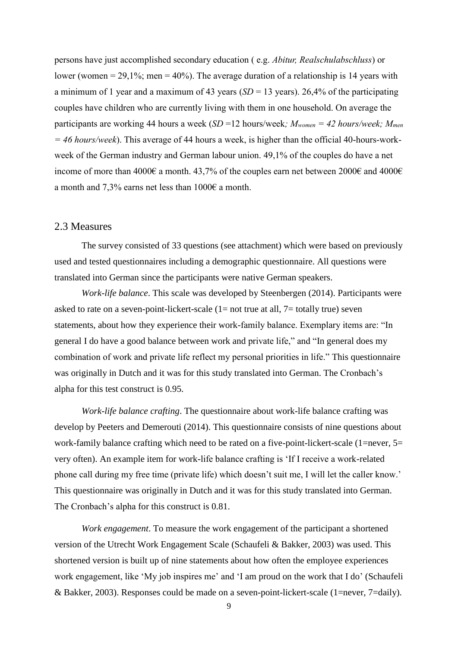persons have just accomplished secondary education ( e.g. *Abitur, Realschulabschluss*) or lower (women  $= 29.1\%$ ; men  $= 40\%$ ). The average duration of a relationship is 14 years with a minimum of 1 year and a maximum of 43 years ( $SD = 13$  years). 26,4% of the participating couples have children who are currently living with them in one household. On average the participants are working 44 hours a week (*SD* =12 hours/week*; Mwomen = 42 hours/week; Mmen = 46 hours/week*). This average of 44 hours a week, is higher than the official 40-hours-workweek of the German industry and German labour union. 49,1% of the couples do have a net income of more than 4000€ a month. 43,7% of the couples earn net between 2000€ and 4000€ a month and 7,3% earns net less than 1000€ a month.

#### 2.3 Measures

The survey consisted of 33 questions (see attachment) which were based on previously used and tested questionnaires including a demographic questionnaire. All questions were translated into German since the participants were native German speakers.

*Work-life balance*. This scale was developed by Steenbergen (2014). Participants were asked to rate on a seven-point-lickert-scale  $(1=$  not true at all,  $7=$  totally true) seven statements, about how they experience their work-family balance. Exemplary items are: "In general I do have a good balance between work and private life," and "In general does my combination of work and private life reflect my personal priorities in life." This questionnaire was originally in Dutch and it was for this study translated into German. The Cronbach's alpha for this test construct is 0.95.

*Work-life balance crafting*. The questionnaire about work-life balance crafting was develop by Peeters and Demerouti (2014). This questionnaire consists of nine questions about work-family balance crafting which need to be rated on a five-point-lickert-scale (1=never, 5= very often). An example item for work-life balance crafting is 'If I receive a work-related phone call during my free time (private life) which doesn't suit me, I will let the caller know.' This questionnaire was originally in Dutch and it was for this study translated into German. The Cronbach's alpha for this construct is 0.81.

*Work engagement*. To measure the work engagement of the participant a shortened version of the Utrecht Work Engagement Scale (Schaufeli & Bakker, 2003) was used. This shortened version is built up of nine statements about how often the employee experiences work engagement, like 'My job inspires me' and 'I am proud on the work that I do' (Schaufeli & Bakker, 2003). Responses could be made on a seven-point-lickert-scale (1=never, 7=daily).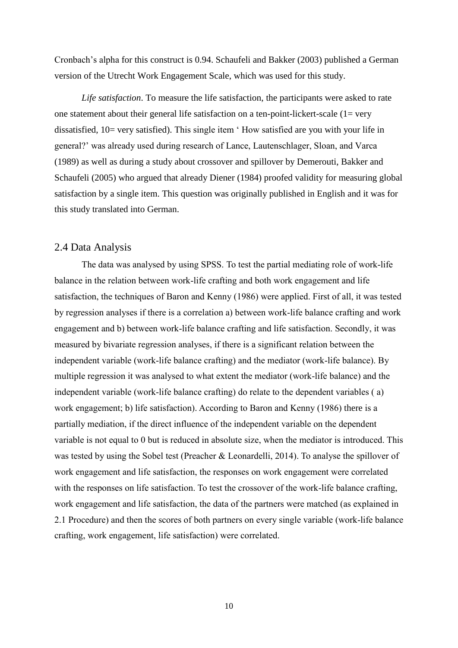Cronbach's alpha for this construct is 0.94. Schaufeli and Bakker (2003) published a German version of the Utrecht Work Engagement Scale, which was used for this study.

*Life satisfaction*. To measure the life satisfaction, the participants were asked to rate one statement about their general life satisfaction on a ten-point-lickert-scale  $(1 = \text{very})$ dissatisfied, 10= very satisfied). This single item 'How satisfied are you with your life in general?' was already used during research of Lance, Lautenschlager, Sloan, and Varca (1989) as well as during a study about crossover and spillover by Demerouti, Bakker and Schaufeli (2005) who argued that already Diener (1984) proofed validity for measuring global satisfaction by a single item. This question was originally published in English and it was for this study translated into German.

#### 2.4 Data Analysis

The data was analysed by using SPSS. To test the partial mediating role of work-life balance in the relation between work-life crafting and both work engagement and life satisfaction, the techniques of Baron and Kenny (1986) were applied. First of all, it was tested by regression analyses if there is a correlation a) between work-life balance crafting and work engagement and b) between work-life balance crafting and life satisfaction. Secondly, it was measured by bivariate regression analyses, if there is a significant relation between the independent variable (work-life balance crafting) and the mediator (work-life balance). By multiple regression it was analysed to what extent the mediator (work-life balance) and the independent variable (work-life balance crafting) do relate to the dependent variables ( a) work engagement; b) life satisfaction). According to Baron and Kenny (1986) there is a partially mediation, if the direct influence of the independent variable on the dependent variable is not equal to 0 but is reduced in absolute size, when the mediator is introduced. This was tested by using the Sobel test (Preacher & Leonardelli, 2014). To analyse the spillover of work engagement and life satisfaction, the responses on work engagement were correlated with the responses on life satisfaction. To test the crossover of the work-life balance crafting, work engagement and life satisfaction, the data of the partners were matched (as explained in 2.1 Procedure) and then the scores of both partners on every single variable (work-life balance crafting, work engagement, life satisfaction) were correlated.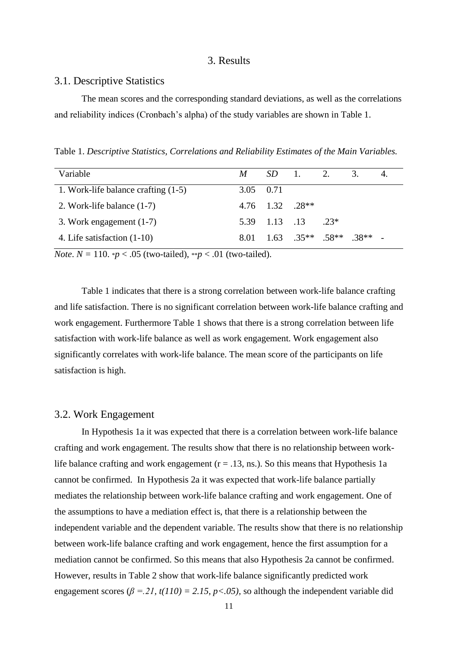#### 3. Results

#### 3.1. Descriptive Statistics

The mean scores and the corresponding standard deviations, as well as the correlations and reliability indices (Cronbach's alpha) of the study variables are shown in Table 1.

Table 1. *Descriptive Statistics, Correlations and Reliability Estimates of the Main Variables.*

| Variable                            |           |                       | $M$ SD 1. 2.                                |       | 3.     |  |
|-------------------------------------|-----------|-----------------------|---------------------------------------------|-------|--------|--|
| 1. Work-life balance crafting (1-5) | 3.05 0.71 |                       |                                             |       |        |  |
| 2. Work-life balance $(1-7)$        |           | $4.76$ $1.32$ $.28**$ |                                             |       |        |  |
| 3. Work engagement $(1-7)$          |           | 5.39 1.13 .13         |                                             | $23*$ |        |  |
| 4. Life satisfaction (1-10)         |           |                       | $8.01 \quad 1.63 \quad 0.35** \quad 0.58**$ |       | $38**$ |  |

*Note*.  $N = 110$ . \**p* < .05 (two-tailed), \*\**p* < .01 (two-tailed).

Table 1 indicates that there is a strong correlation between work-life balance crafting and life satisfaction. There is no significant correlation between work-life balance crafting and work engagement. Furthermore Table 1 shows that there is a strong correlation between life satisfaction with work-life balance as well as work engagement. Work engagement also significantly correlates with work-life balance. The mean score of the participants on life satisfaction is high.

#### 3.2. Work Engagement

In Hypothesis 1a it was expected that there is a correlation between work-life balance crafting and work engagement. The results show that there is no relationship between worklife balance crafting and work engagement ( $r = .13$ , ns.). So this means that Hypothesis 1a cannot be confirmed. In Hypothesis 2a it was expected that work-life balance partially mediates the relationship between work-life balance crafting and work engagement. One of the assumptions to have a mediation effect is, that there is a relationship between the independent variable and the dependent variable. The results show that there is no relationship between work-life balance crafting and work engagement, hence the first assumption for a mediation cannot be confirmed. So this means that also Hypothesis 2a cannot be confirmed. However, results in Table 2 show that work-life balance significantly predicted work engagement scores ( $\beta$  = 21, t(110) = 2.15, p < 0.05), so although the independent variable did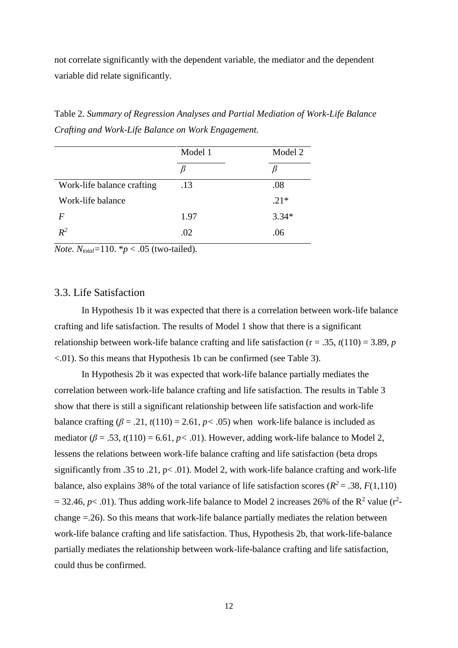not correlate significantly with the dependent variable, the mediator and the dependent variable did relate significantly.

|                            | Model 1 | Model 2 |
|----------------------------|---------|---------|
|                            |         |         |
| Work-life balance crafting | .13     | .08     |
| Work-life balance          |         | $.21*$  |
| F                          | 1.97    | $3.34*$ |
| $R^2$                      | .02     | .06     |

Table 2. *Summary of Regression Analyses and Partial Mediation of Work-Life Balance Crafting and Work-Life Balance on Work Engagement.*

*Note.*  $N_{total}$ =110.  $*$ *p* < .05 (two-tailed).

#### 3.3. Life Satisfaction

In Hypothesis 1b it was expected that there is a correlation between work-life balance crafting and life satisfaction. The results of Model 1 show that there is a significant relationship between work-life balance crafting and life satisfaction ( $r = .35$ ,  $t(110) = 3.89$ , *p* <.01). So this means that Hypothesis 1b can be confirmed (see Table 3).

In Hypothesis 2b it was expected that work-life balance partially mediates the correlation between work-life balance crafting and life satisfaction. The results in Table 3 show that there is still a significant relationship between life satisfaction and work-life balance crafting  $(\beta = .21, t(110) = 2.61, p < .05)$  when work-life balance is included as mediator ( $\beta$  = .53,  $t(110)$  = 6.61,  $p$ < .01). However, adding work-life balance to Model 2, lessens the relations between work-life balance crafting and life satisfaction (beta drops significantly from .35 to .21,  $p < .01$ ). Model 2, with work-life balance crafting and work-life balance, also explains 38% of the total variance of life satisfaction scores ( $R^2 = .38$ ,  $F(1,110)$ )  $= 32.46$ ,  $p< .01$ ). Thus adding work-life balance to Model 2 increases 26% of the R<sup>2</sup> value (r<sup>2</sup>change =.26). So this means that work-life balance partially mediates the relation between work-life balance crafting and life satisfaction. Thus, Hypothesis 2b, that work-life-balance partially mediates the relationship between work-life-balance crafting and life satisfaction, could thus be confirmed.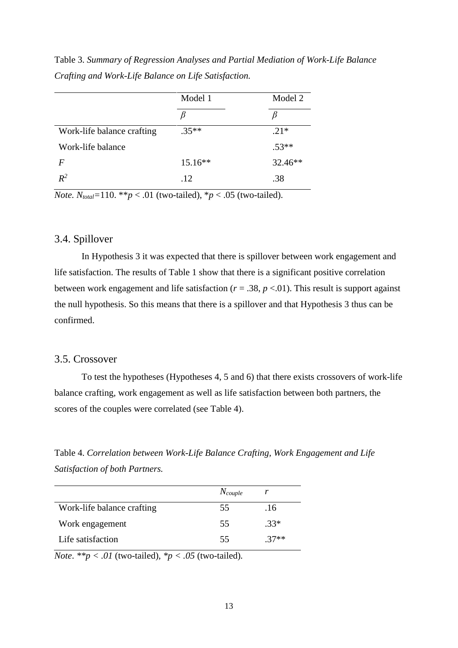|                            | Model 1   | Model 2 |
|----------------------------|-----------|---------|
|                            |           |         |
| Work-life balance crafting | $.35**$   | $.21*$  |
| Work-life balance          |           | $.53**$ |
| $\bm{F}$                   | $15.16**$ | 32.46** |
| $R^2$                      | .12       | .38     |

Table 3. *Summary of Regression Analyses and Partial Mediation of Work-Life Balance Crafting and Work-Life Balance on Life Satisfaction.*

*Note.*  $N_{total}$ =110. \*\**p* < .01 (two-tailed), \**p* < .05 (two-tailed).

#### 3.4. Spillover

In Hypothesis 3 it was expected that there is spillover between work engagement and life satisfaction. The results of Table 1 show that there is a significant positive correlation between work engagement and life satisfaction (*r* = .38, *p* <.01). This result is support against the null hypothesis. So this means that there is a spillover and that Hypothesis 3 thus can be confirmed.

#### 3.5. Crossover

To test the hypotheses (Hypotheses 4, 5 and 6) that there exists crossovers of work-life balance crafting, work engagement as well as life satisfaction between both partners, the scores of the couples were correlated (see Table 4).

Table 4. *Correlation between Work-Life Balance Crafting, Work Engagement and Life Satisfaction of both Partners.*

|                            | $N_{couple}$ |        |
|----------------------------|--------------|--------|
| Work-life balance crafting | 55           | .16    |
| Work engagement            | 55           | $.33*$ |
| Life satisfaction          | 55           | $37**$ |

*Note.*  $**p < .01$  (two-tailed),  $*p < .05$  (two-tailed).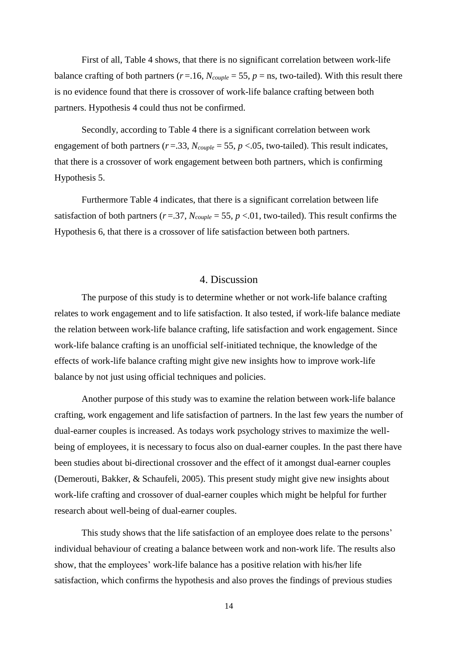First of all, Table 4 shows, that there is no significant correlation between work-life balance crafting of both partners ( $r = 16$ ,  $N_{\text{couple}} = 55$ ,  $p = \text{ns}$ , two-tailed). With this result there is no evidence found that there is crossover of work-life balance crafting between both partners. Hypothesis 4 could thus not be confirmed.

Secondly, according to Table 4 there is a significant correlation between work engagement of both partners ( $r = .33$ ,  $N_{couple} = 55$ ,  $p < .05$ , two-tailed). This result indicates, that there is a crossover of work engagement between both partners, which is confirming Hypothesis 5.

Furthermore Table 4 indicates, that there is a significant correlation between life satisfaction of both partners ( $r = .37$ ,  $N_{couple} = 55$ ,  $p < .01$ , two-tailed). This result confirms the Hypothesis 6, that there is a crossover of life satisfaction between both partners.

#### 4. Discussion

The purpose of this study is to determine whether or not work-life balance crafting relates to work engagement and to life satisfaction. It also tested, if work-life balance mediate the relation between work-life balance crafting, life satisfaction and work engagement. Since work-life balance crafting is an unofficial self-initiated technique, the knowledge of the effects of work-life balance crafting might give new insights how to improve work-life balance by not just using official techniques and policies.

Another purpose of this study was to examine the relation between work-life balance crafting, work engagement and life satisfaction of partners. In the last few years the number of dual-earner couples is increased. As todays work psychology strives to maximize the wellbeing of employees, it is necessary to focus also on dual-earner couples. In the past there have been studies about bi-directional crossover and the effect of it amongst dual-earner couples (Demerouti, Bakker, & Schaufeli, 2005). This present study might give new insights about work-life crafting and crossover of dual-earner couples which might be helpful for further research about well-being of dual-earner couples.

This study shows that the life satisfaction of an employee does relate to the persons' individual behaviour of creating a balance between work and non-work life. The results also show, that the employees' work-life balance has a positive relation with his/her life satisfaction, which confirms the hypothesis and also proves the findings of previous studies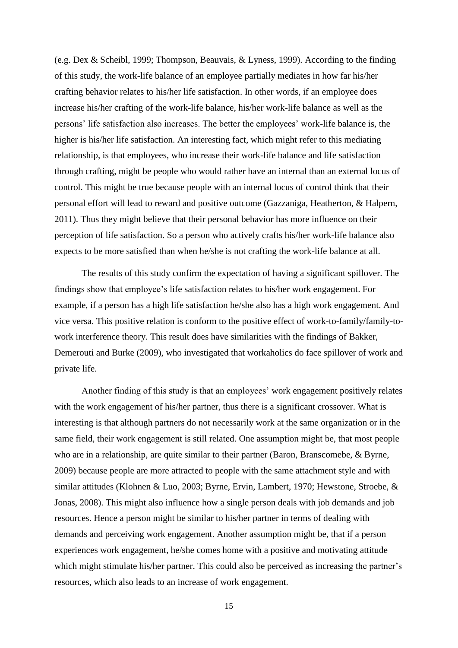(e.g. Dex & Scheibl, 1999; Thompson, Beauvais, & Lyness, 1999). According to the finding of this study, the work-life balance of an employee partially mediates in how far his/her crafting behavior relates to his/her life satisfaction. In other words, if an employee does increase his/her crafting of the work-life balance, his/her work-life balance as well as the persons' life satisfaction also increases. The better the employees' work-life balance is, the higher is his/her life satisfaction. An interesting fact, which might refer to this mediating relationship, is that employees, who increase their work-life balance and life satisfaction through crafting, might be people who would rather have an internal than an external locus of control. This might be true because people with an internal locus of control think that their personal effort will lead to reward and positive outcome (Gazzaniga, Heatherton, & Halpern, 2011). Thus they might believe that their personal behavior has more influence on their perception of life satisfaction. So a person who actively crafts his/her work-life balance also expects to be more satisfied than when he/she is not crafting the work-life balance at all.

The results of this study confirm the expectation of having a significant spillover. The findings show that employee's life satisfaction relates to his/her work engagement. For example, if a person has a high life satisfaction he/she also has a high work engagement. And vice versa. This positive relation is conform to the positive effect of work-to-family/family-towork interference theory. This result does have similarities with the findings of Bakker, Demerouti and Burke (2009), who investigated that workaholics do face spillover of work and private life.

Another finding of this study is that an employees' work engagement positively relates with the work engagement of his/her partner, thus there is a significant crossover. What is interesting is that although partners do not necessarily work at the same organization or in the same field, their work engagement is still related. One assumption might be, that most people who are in a relationship, are quite similar to their partner (Baron, Branscomebe, & Byrne, 2009) because people are more attracted to people with the same attachment style and with similar attitudes (Klohnen & Luo, 2003; Byrne, Ervin, Lambert, 1970; Hewstone, Stroebe, & Jonas, 2008). This might also influence how a single person deals with job demands and job resources. Hence a person might be similar to his/her partner in terms of dealing with demands and perceiving work engagement. Another assumption might be, that if a person experiences work engagement, he/she comes home with a positive and motivating attitude which might stimulate his/her partner. This could also be perceived as increasing the partner's resources, which also leads to an increase of work engagement.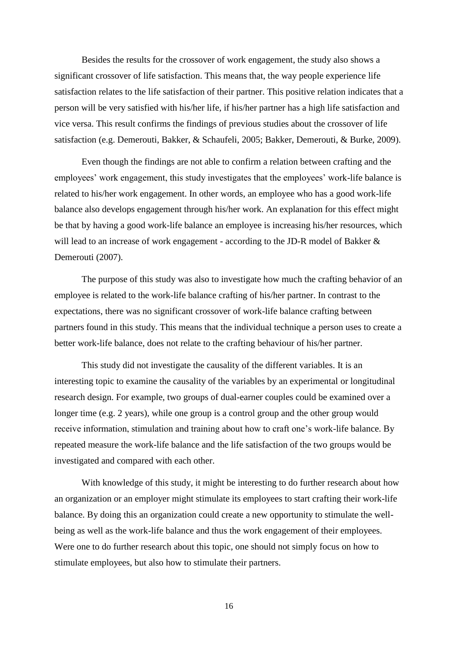Besides the results for the crossover of work engagement, the study also shows a significant crossover of life satisfaction. This means that, the way people experience life satisfaction relates to the life satisfaction of their partner. This positive relation indicates that a person will be very satisfied with his/her life, if his/her partner has a high life satisfaction and vice versa. This result confirms the findings of previous studies about the crossover of life satisfaction (e.g. Demerouti, Bakker, & Schaufeli, 2005; Bakker, Demerouti, & Burke, 2009).

Even though the findings are not able to confirm a relation between crafting and the employees' work engagement, this study investigates that the employees' work-life balance is related to his/her work engagement. In other words, an employee who has a good work-life balance also develops engagement through his/her work. An explanation for this effect might be that by having a good work-life balance an employee is increasing his/her resources, which will lead to an increase of work engagement - according to the JD-R model of Bakker & Demerouti (2007).

The purpose of this study was also to investigate how much the crafting behavior of an employee is related to the work-life balance crafting of his/her partner. In contrast to the expectations, there was no significant crossover of work-life balance crafting between partners found in this study. This means that the individual technique a person uses to create a better work-life balance, does not relate to the crafting behaviour of his/her partner.

This study did not investigate the causality of the different variables. It is an interesting topic to examine the causality of the variables by an experimental or longitudinal research design. For example, two groups of dual-earner couples could be examined over a longer time (e.g. 2 years), while one group is a control group and the other group would receive information, stimulation and training about how to craft one's work-life balance. By repeated measure the work-life balance and the life satisfaction of the two groups would be investigated and compared with each other.

With knowledge of this study, it might be interesting to do further research about how an organization or an employer might stimulate its employees to start crafting their work-life balance. By doing this an organization could create a new opportunity to stimulate the wellbeing as well as the work-life balance and thus the work engagement of their employees. Were one to do further research about this topic, one should not simply focus on how to stimulate employees, but also how to stimulate their partners.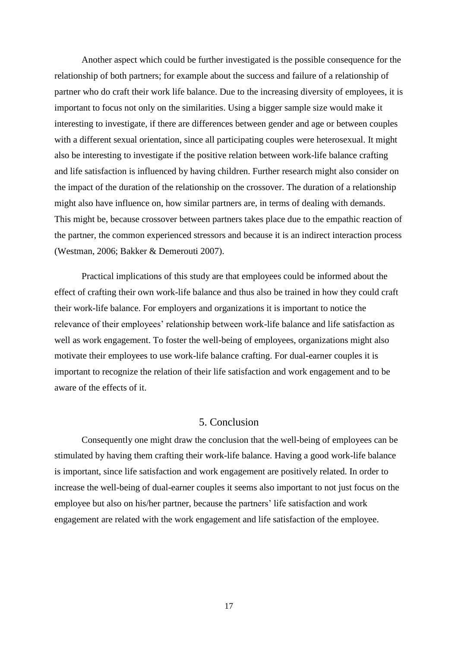Another aspect which could be further investigated is the possible consequence for the relationship of both partners; for example about the success and failure of a relationship of partner who do craft their work life balance. Due to the increasing diversity of employees, it is important to focus not only on the similarities. Using a bigger sample size would make it interesting to investigate, if there are differences between gender and age or between couples with a different sexual orientation, since all participating couples were heterosexual. It might also be interesting to investigate if the positive relation between work-life balance crafting and life satisfaction is influenced by having children. Further research might also consider on the impact of the duration of the relationship on the crossover. The duration of a relationship might also have influence on, how similar partners are, in terms of dealing with demands. This might be, because crossover between partners takes place due to the empathic reaction of the partner, the common experienced stressors and because it is an indirect interaction process (Westman, 2006; Bakker & Demerouti 2007).

Practical implications of this study are that employees could be informed about the effect of crafting their own work-life balance and thus also be trained in how they could craft their work-life balance. For employers and organizations it is important to notice the relevance of their employees' relationship between work-life balance and life satisfaction as well as work engagement. To foster the well-being of employees, organizations might also motivate their employees to use work-life balance crafting. For dual-earner couples it is important to recognize the relation of their life satisfaction and work engagement and to be aware of the effects of it.

#### 5. Conclusion

Consequently one might draw the conclusion that the well-being of employees can be stimulated by having them crafting their work-life balance. Having a good work-life balance is important, since life satisfaction and work engagement are positively related. In order to increase the well-being of dual-earner couples it seems also important to not just focus on the employee but also on his/her partner, because the partners' life satisfaction and work engagement are related with the work engagement and life satisfaction of the employee.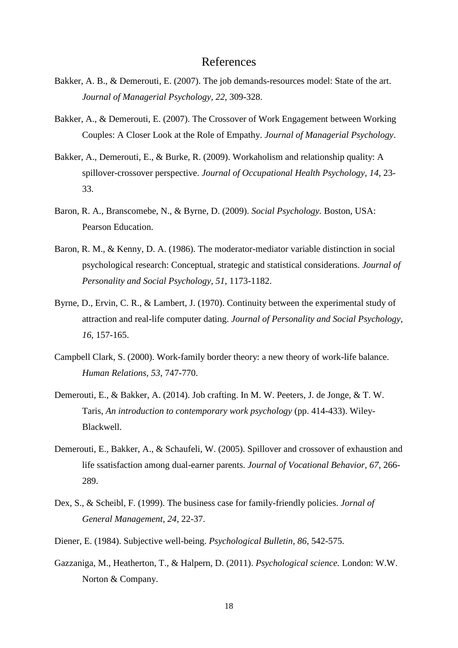## References

- Bakker, A. B., & Demerouti, E. (2007). The job demands-resources model: State of the art. *Journal of Managerial Psychology, 22*, 309-328.
- Bakker, A., & Demerouti, E. (2007). The Crossover of Work Engagement between Working Couples: A Closer Look at the Role of Empathy. *Journal of Managerial Psychology*.
- Bakker, A., Demerouti, E., & Burke, R. (2009). Workaholism and relationship quality: A spillover-crossover perspective. *Journal of Occupational Health Psychology, 14*, 23- 33.
- Baron, R. A., Branscomebe, N., & Byrne, D. (2009). *Social Psychology.* Boston, USA: Pearson Education.
- Baron, R. M., & Kenny, D. A. (1986). The moderator-mediator variable distinction in social psychological research: Conceptual, strategic and statistical considerations. *Journal of Personality and Social Psychology, 51*, 1173-1182.
- Byrne, D., Ervin, C. R., & Lambert, J. (1970). Continuity between the experimental study of attraction and real-life computer dating. *Journal of Personality and Social Psychology, 16*, 157-165.
- Campbell Clark, S. (2000). Work-family border theory: a new theory of work-life balance. *Human Relations, 53*, 747-770.
- Demerouti, E., & Bakker, A. (2014). Job crafting. In M. W. Peeters, J. de Jonge, & T. W. Taris, *An introduction to contemporary work psychology* (pp. 414-433). Wiley-Blackwell.
- Demerouti, E., Bakker, A., & Schaufeli, W. (2005). Spillover and crossover of exhaustion and life ssatisfaction among dual-earner parents. *Journal of Vocational Behavior, 67*, 266- 289.
- Dex, S., & Scheibl, F. (1999). The business case for family-friendly policies. *Jornal of General Management, 24*, 22-37.
- Diener, E. (1984). Subjective well-being. *Psychological Bulletin, 86*, 542-575.
- Gazzaniga, M., Heatherton, T., & Halpern, D. (2011). *Psychological science.* London: W.W. Norton & Company.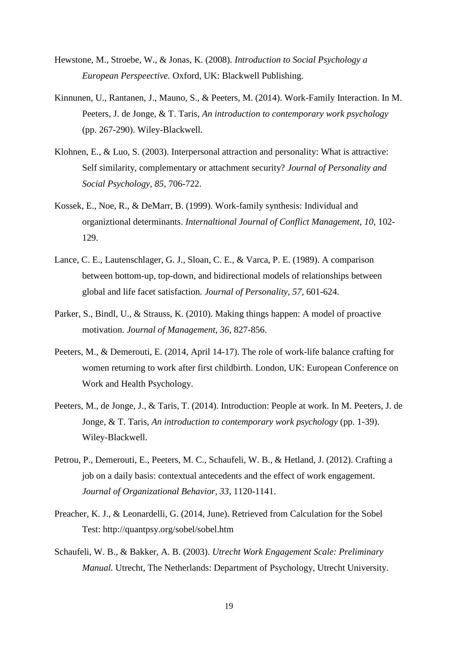- Hewstone, M., Stroebe, W., & Jonas, K. (2008). *Introduction to Social Psychology a European Perspeective.* Oxford, UK: Blackwell Publishing.
- Kinnunen, U., Rantanen, J., Mauno, S., & Peeters, M. (2014). Work-Family Interaction. In M. Peeters, J. de Jonge, & T. Taris, *An introduction to contemporary work psychology* (pp. 267-290). Wiley-Blackwell.
- Klohnen, E., & Luo, S. (2003). Interpersonal attraction and personality: What is attractive: Self similarity, complementary or attachment security? *Journal of Personality and Social Psychology, 85*, 706-722.
- Kossek, E., Noe, R., & DeMarr, B. (1999). Work-family synthesis: Individual and organiztional determinants. *Internaltional Journal of Conflict Management, 10*, 102- 129.
- Lance, C. E., Lautenschlager, G. J., Sloan, C. E., & Varca, P. E. (1989). A comparison between bottom-up, top-down, and bidirectional models of relationships between global and life facet satisfaction. *Journal of Personality, 57*, 601-624.
- Parker, S., Bindl, U., & Strauss, K. (2010). Making things happen: A model of proactive motivation. *Journal of Management, 36*, 827-856.
- Peeters, M., & Demerouti, E. (2014, April 14-17). The role of work-life balance crafting for women returning to work after first childbirth. London, UK: European Conference on Work and Health Psychology.
- Peeters, M., de Jonge, J., & Taris, T. (2014). Introduction: People at work. In M. Peeters, J. de Jonge, & T. Taris, *An introduction to contemporary work psychology* (pp. 1-39). Wiley-Blackwell.
- Petrou, P., Demerouti, E., Peeters, M. C., Schaufeli, W. B., & Hetland, J. (2012). Crafting a job on a daily basis: contextual antecedents and the effect of work engagement. *Journal of Organizational Behavior, 33*, 1120-1141.
- Preacher, K. J., & Leonardelli, G. (2014, June). Retrieved from Calculation for the Sobel Test: http://quantpsy.org/sobel/sobel.htm
- Schaufeli, W. B., & Bakker, A. B. (2003). *Utrecht Work Engagement Scale: Preliminary Manual.* Utrecht, The Netherlands: Department of Psychology, Utrecht University.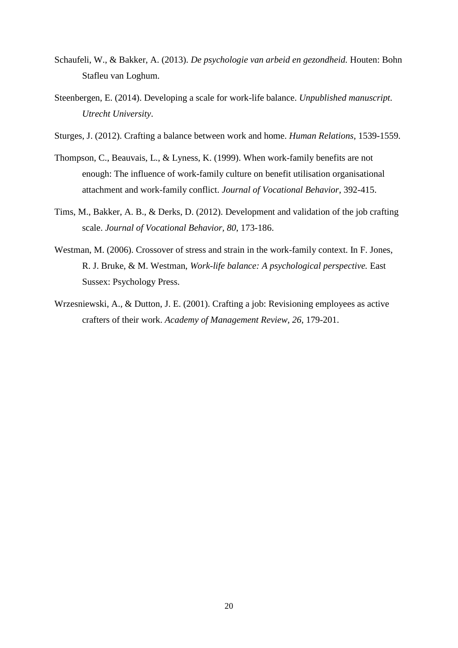- Schaufeli, W., & Bakker, A. (2013). *De psychologie van arbeid en gezondheid.* Houten: Bohn Stafleu van Loghum.
- Steenbergen, E. (2014). Developing a scale for work-life balance. *Unpublished manuscript. Utrecht University*.
- Sturges, J. (2012). Crafting a balance between work and home. *Human Relations*, 1539-1559.
- Thompson, C., Beauvais, L., & Lyness, K. (1999). When work-family benefits are not enough: The influence of work-family culture on benefit utilisation organisational attachment and work-family conflict. *Journal of Vocational Behavior*, 392-415.
- Tims, M., Bakker, A. B., & Derks, D. (2012). Development and validation of the job crafting scale. *Journal of Vocational Behavior, 80*, 173-186.
- Westman, M. (2006). Crossover of stress and strain in the work-family context. In F. Jones, R. J. Bruke, & M. Westman, *Work-life balance: A psychological perspective.* East Sussex: Psychology Press.
- Wrzesniewski, A., & Dutton, J. E. (2001). Crafting a job: Revisioning employees as active crafters of their work. *Academy of Management Review, 26*, 179-201.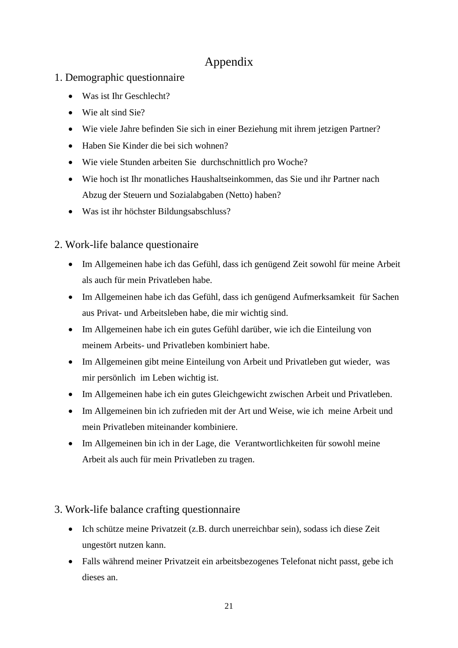# Appendix

- 1. Demographic questionnaire
	- Was ist Ihr Geschlecht?
	- Wie alt sind Sie?
	- Wie viele Jahre befinden Sie sich in einer Beziehung mit ihrem jetzigen Partner?
	- Haben Sie Kinder die bei sich wohnen?
	- Wie viele Stunden arbeiten Sie durchschnittlich pro Woche?
	- Wie hoch ist Ihr monatliches Haushaltseinkommen, das Sie und ihr Partner nach Abzug der Steuern und Sozialabgaben (Netto) haben?
	- Was ist ihr höchster Bildungsabschluss?

# 2. Work-life balance questionaire

- Im Allgemeinen habe ich das Gefühl, dass ich genügend Zeit sowohl für meine Arbeit als auch für mein Privatleben habe.
- Im Allgemeinen habe ich das Gefühl, dass ich genügend Aufmerksamkeit für Sachen aus Privat- und Arbeitsleben habe, die mir wichtig sind.
- Im Allgemeinen habe ich ein gutes Gefühl darüber, wie ich die Einteilung von meinem Arbeits- und Privatleben kombiniert habe.
- Im Allgemeinen gibt meine Einteilung von Arbeit und Privatleben gut wieder, was mir persönlich im Leben wichtig ist.
- Im Allgemeinen habe ich ein gutes Gleichgewicht zwischen Arbeit und Privatleben.
- Im Allgemeinen bin ich zufrieden mit der Art und Weise, wie ich meine Arbeit und mein Privatleben miteinander kombiniere.
- Im Allgemeinen bin ich in der Lage, die Verantwortlichkeiten für sowohl meine Arbeit als auch für mein Privatleben zu tragen.

# 3. Work-life balance crafting questionnaire

- Ich schütze meine Privatzeit (z.B. durch unerreichbar sein), sodass ich diese Zeit ungestört nutzen kann.
- Falls während meiner Privatzeit ein arbeitsbezogenes Telefonat nicht passt, gebe ich dieses an.